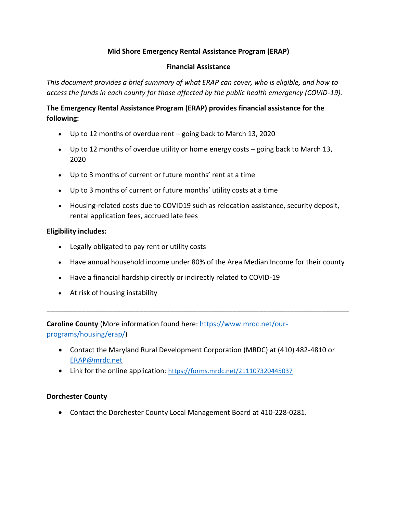## **Mid Shore Emergency Rental Assistance Program (ERAP)**

### **Financial Assistance**

*This document provides a brief summary of what ERAP can cover, who is eligible, and how to access the funds in each county for those affected by the public health emergency (COVID-19).*

# **The Emergency Rental Assistance Program (ERAP) provides financial assistance for the following:**

- Up to 12 months of overdue rent going back to March 13, 2020
- Up to 12 months of overdue utility or home energy costs going back to March 13, 2020
- Up to 3 months of current or future months' rent at a time
- Up to 3 months of current or future months' utility costs at a time
- Housing-related costs due to COVID19 such as relocation assistance, security deposit, rental application fees, accrued late fees

### **Eligibility includes:**

- Legally obligated to pay rent or utility costs
- Have annual household income under 80% of the Area Median Income for their county
- Have a financial hardship directly or indirectly related to COVID-19
- At risk of housing instability

**Caroline County** (More information found here: [https://www.mrdc.net/our](https://www.mrdc.net/our-programs/housing/erap/)[programs/housing/erap/\)](https://www.mrdc.net/our-programs/housing/erap/)

• Contact the Maryland Rural Development Corporation (MRDC) at (410) 482-4810 or [ERAP@mrdc.net](mailto:ERAP@mrdc.net)

**\_\_\_\_\_\_\_\_\_\_\_\_\_\_\_\_\_\_\_\_\_\_\_\_\_\_\_\_\_\_\_\_\_\_\_\_\_\_\_\_\_\_\_\_\_\_\_\_\_\_\_\_\_\_\_\_\_\_\_\_\_\_\_\_\_\_\_\_\_\_\_\_\_\_\_\_\_\_** 

• Link for the online application: <https://forms.mrdc.net/211107320445037>

### **Dorchester County**

• Contact the Dorchester County Local Management Board at 410-228-0281.